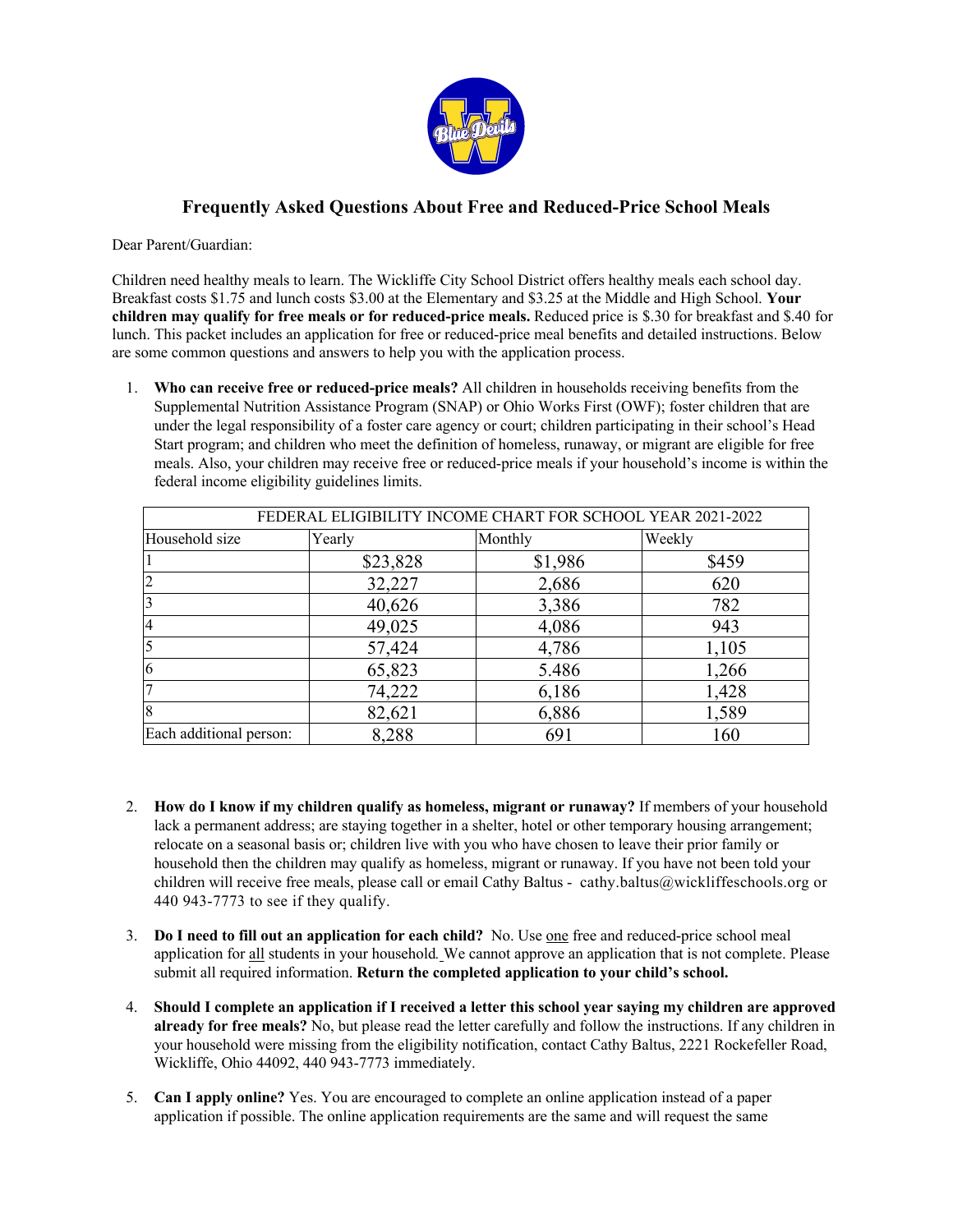

# **Frequently Asked Questions About Free and Reduced-Price School Meals**

Dear Parent/Guardian:

Children need healthy meals to learn. The Wickliffe City School District offers healthy meals each school day. Breakfast costs \$1.75 and lunch costs \$3.00 at the Elementary and \$3.25 at the Middle and High School. **Your children may qualify for free meals or for reduced-price meals.** Reduced price is \$.30 for breakfast and \$.40 for lunch. This packet includes an application for free or reduced-price meal benefits and detailed instructions. Below are some common questions and answers to help you with the application process.

1. **Who can receive free or reduced-price meals?** All children in households receiving benefits from the Supplemental Nutrition Assistance Program (SNAP) or Ohio Works First (OWF); foster children that are under the legal responsibility of a foster care agency or court; children participating in their school's Head Start program; and children who meet the definition of homeless, runaway, or migrant are eligible for free meals. Also, your children may receive free or reduced-price meals if your household's income is within the federal income eligibility guidelines limits.

| FEDERAL ELIGIBILITY INCOME CHART FOR SCHOOL YEAR 2021-2022 |          |         |        |  |  |  |  |  |  |
|------------------------------------------------------------|----------|---------|--------|--|--|--|--|--|--|
| Household size                                             | Yearly   | Monthly | Weekly |  |  |  |  |  |  |
|                                                            | \$23,828 | \$1,986 | \$459  |  |  |  |  |  |  |
| $\overline{2}$                                             | 32,227   | 2,686   | 620    |  |  |  |  |  |  |
| $\overline{3}$                                             | 40,626   | 3,386   | 782    |  |  |  |  |  |  |
| $\overline{4}$                                             | 49,025   | 4,086   | 943    |  |  |  |  |  |  |
| $\overline{\mathbf{5}}$                                    | 57,424   | 4,786   | 1,105  |  |  |  |  |  |  |
| 6                                                          | 65,823   | 5.486   | 1,266  |  |  |  |  |  |  |
| 7                                                          | 74,222   | 6,186   | 1,428  |  |  |  |  |  |  |
| 8                                                          | 82,621   | 6,886   | 1,589  |  |  |  |  |  |  |
| Each additional person:                                    | 8,288    | 691     | 160    |  |  |  |  |  |  |

- 2. **How do I know if my children qualify as homeless, migrant or runaway?** If members of your household lack a permanent address; are staying together in a shelter, hotel or other temporary housing arrangement; relocate on a seasonal basis or; children live with you who have chosen to leave their prior family or household then the children may qualify as homeless, migrant or runaway. If you have not been told your children will receive free meals, please call or email Cathy Baltus - cathy.baltus@wickliffeschools.org or 440 943-7773 to see if they qualify.
- 3. **Do I need to fill out an application for each child?** No. Use one free and reduced-price school meal application for all students in your household*.* We cannot approve an application that is not complete. Please submit all required information. **Return the completed application to your child's school.**
- 4. **Should I complete an application if I received a letter this school year saying my children are approved already for free meals?** No, but please read the letter carefully and follow the instructions. If any children in your household were missing from the eligibility notification, contact Cathy Baltus, 2221 Rockefeller Road, Wickliffe, Ohio 44092, 440 943-7773 immediately.
- 5. **Can I apply online?** Yes. You are encouraged to complete an online application instead of a paper application if possible. The online application requirements are the same and will request the same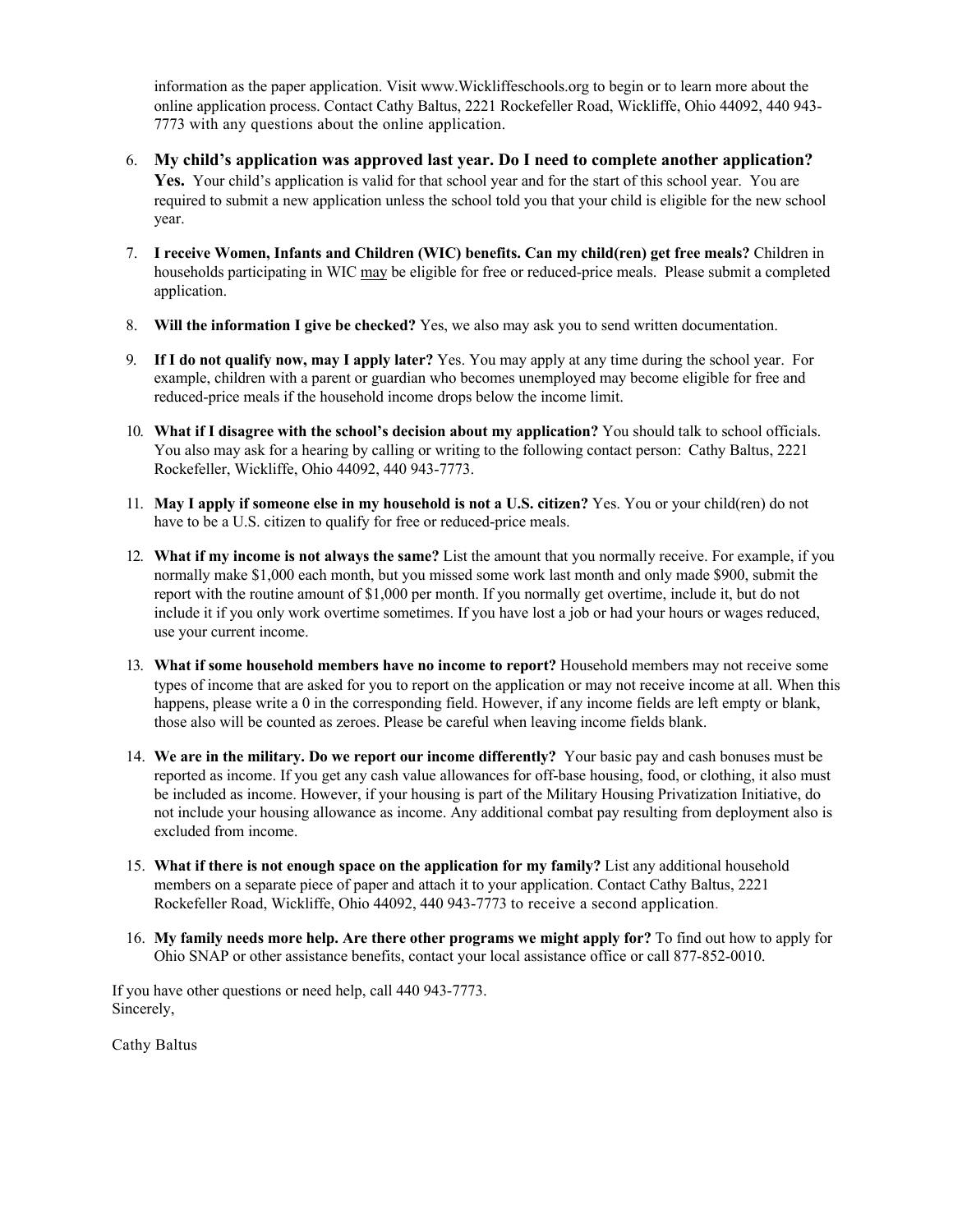information as the paper application. Visit www.Wickliffeschools.org to begin or to learn more about the online application process. Contact Cathy Baltus, 2221 Rockefeller Road, Wickliffe, Ohio 44092, 440 943- 7773 with any questions about the online application.

- 6. **My child's application was approved last year. Do I need to complete another application?**  Yes. Your child's application is valid for that school year and for the start of this school year. You are required to submit a new application unless the school told you that your child is eligible for the new school year.
- 7. **I receive Women, Infants and Children (WIC) benefits. Can my child(ren) get free meals?** Children in households participating in WIC may be eligible for free or reduced-price meals. Please submit a completed application.
- 8. **Will the information I give be checked?** Yes, we also may ask you to send written documentation.
- 9. **If I do not qualify now, may I apply later?** Yes. You may apply at any time during the school year. For example, children with a parent or guardian who becomes unemployed may become eligible for free and reduced-price meals if the household income drops below the income limit.
- 10. **What if I disagree with the school's decision about my application?** You should talk to school officials. You also may ask for a hearing by calling or writing to the following contact person: Cathy Baltus, 2221 Rockefeller, Wickliffe, Ohio 44092, 440 943-7773.
- 11. **May I apply if someone else in my household is not a U.S. citizen?** Yes. You or your child(ren) do not have to be a U.S. citizen to qualify for free or reduced-price meals.
- 12. **What if my income is not always the same?** List the amount that you normally receive. For example, if you normally make \$1,000 each month, but you missed some work last month and only made \$900, submit the report with the routine amount of \$1,000 per month. If you normally get overtime, include it, but do not include it if you only work overtime sometimes. If you have lost a job or had your hours or wages reduced, use your current income.
- 13. **What if some household members have no income to report?** Household members may not receive some types of income that are asked for you to report on the application or may not receive income at all. When this happens, please write a 0 in the corresponding field. However, if any income fields are left empty or blank, those also will be counted as zeroes. Please be careful when leaving income fields blank.
- 14. **We are in the military. Do we report our income differently?** Your basic pay and cash bonuses must be reported as income. If you get any cash value allowances for off-base housing, food, or clothing, it also must be included as income. However, if your housing is part of the Military Housing Privatization Initiative, do not include your housing allowance as income. Any additional combat pay resulting from deployment also is excluded from income.
- 15. **What if there is not enough space on the application for my family?** List any additional household members on a separate piece of paper and attach it to your application. Contact Cathy Baltus, 2221 Rockefeller Road, Wickliffe, Ohio 44092, 440 943-7773 to receive a second application.
- 16. **My family needs more help. Are there other programs we might apply for?** To find out how to apply for Ohio SNAP or other assistance benefits, contact your local assistance office or call 877-852-0010.

If you have other questions or need help, call 440 943-7773. Sincerely,

Cathy Baltus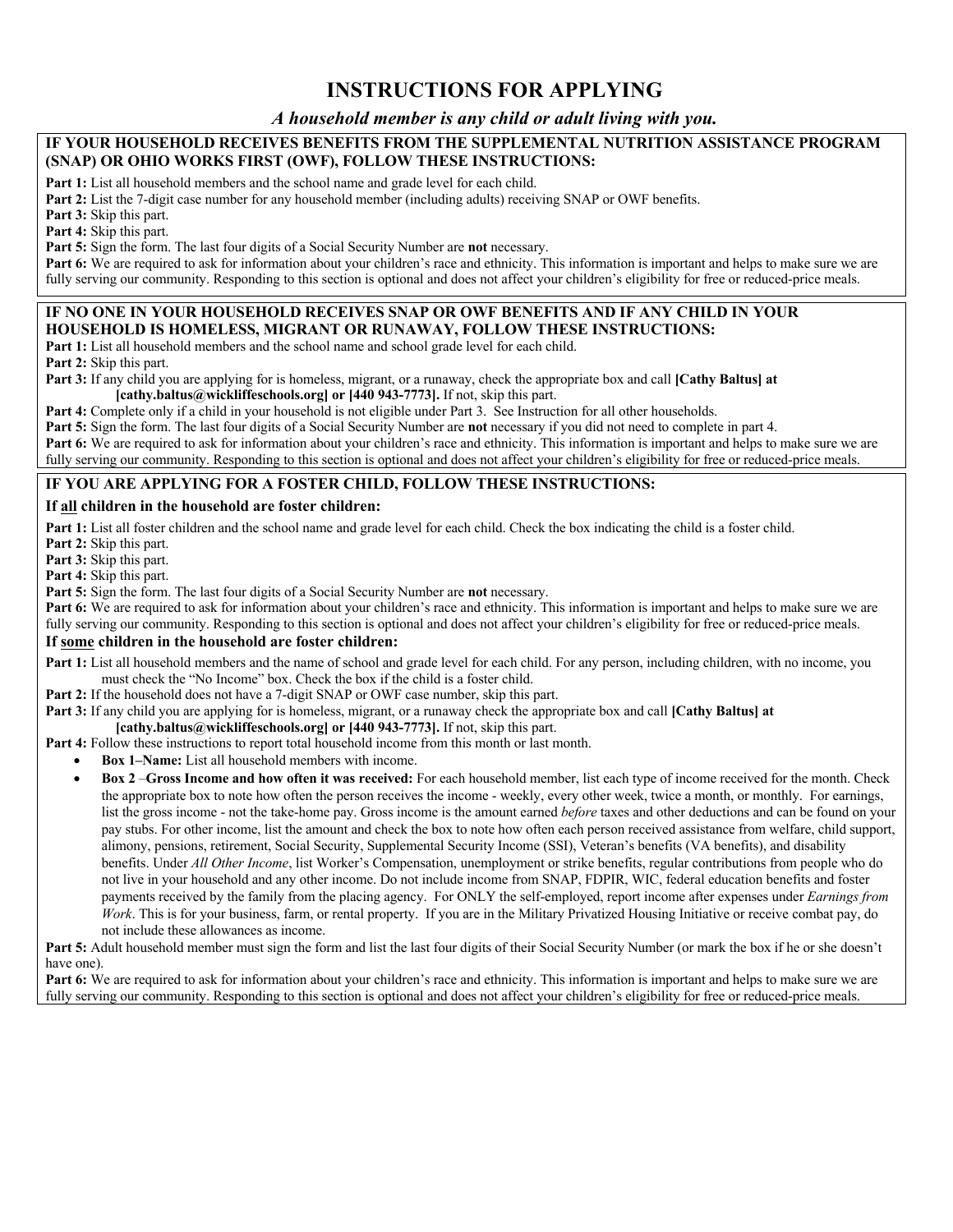# **INSTRUCTIONS FOR APPLYING**

# *A household member is any child or adult living with you.*

### **IF YOUR HOUSEHOLD RECEIVES BENEFITS FROM THE SUPPLEMENTAL NUTRITION ASSISTANCE PROGRAM (SNAP) OR OHIO WORKS FIRST (OWF), FOLLOW THESE INSTRUCTIONS:**

**Part 1:** List all household members and the school name and grade level for each child.

**Part 2:** List the 7-digit case number for any household member (including adults) receiving SNAP or OWF benefits.

**Part 3:** Skip this part.

**Part 4:** Skip this part.

**Part 5:** Sign the form. The last four digits of a Social Security Number are **not** necessary.

Part 6: We are required to ask for information about your children's race and ethnicity. This information is important and helps to make sure we are fully serving our community. Responding to this section is optional and does not affect your children's eligibility for free or reduced-price meals.

### **IF NO ONE IN YOUR HOUSEHOLD RECEIVES SNAP OR OWF BENEFITS AND IF ANY CHILD IN YOUR HOUSEHOLD IS HOMELESS, MIGRANT OR RUNAWAY, FOLLOW THESE INSTRUCTIONS:**

**Part 1:** List all household members and the school name and school grade level for each child.

**Part 2:** Skip this part.

**Part 3:** If any child you are applying for is homeless, migrant, or a runaway, check the appropriate box and call **[Cathy Baltus] at [cathy.baltus@wickliffeschools.org] or [440 943-7773].** If not, skip this part.

**Part 4:** Complete only if a child in your household is not eligible under Part 3. See Instruction for all other households.

**Part 5:** Sign the form. The last four digits of a Social Security Number are **not** necessary if you did not need to complete in part 4. Part 6: We are required to ask for information about your children's race and ethnicity. This information is important and helps to make sure we are fully serving our community. Responding to this section is optional and does not affect your children's eligibility for free or reduced-price meals.

## **IF YOU ARE APPLYING FOR A FOSTER CHILD, FOLLOW THESE INSTRUCTIONS:**

## **If all children in the household are foster children:**

**Part 1:** List all foster children and the school name and grade level for each child. Check the box indicating the child is a foster child.

Part 2: Skip this part.

**Part 3:** Skip this part.

**Part 4:** Skip this part.

**Part 5:** Sign the form. The last four digits of a Social Security Number are **not** necessary.

Part 6: We are required to ask for information about your children's race and ethnicity. This information is important and helps to make sure we are fully serving our community. Responding to this section is optional and does not affect your children's eligibility for free or reduced-price meals.

# **If some children in the household are foster children:**

**Part 1:** List all household members and the name of school and grade level for each child. For any person, including children, with no income, you must check the "No Income" box. Check the box if the child is a foster child.

Part 2: If the household does not have a 7-digit SNAP or OWF case number, skip this part.

**Part 3:** If any child you are applying for is homeless, migrant, or a runaway check the appropriate box and call **[Cathy Baltus] at** 

**[cathy.baltus@wickliffeschools.org] or [440 943-7773].** If not, skip this part.

**Part 4:** Follow these instructions to report total household income from this month or last month.

• **Box 1–Name:** List all household members with income.

• **Box 2** –**Gross Income and how often it was received:** For each household member, list each type of income received for the month. Check the appropriate box to note how often the person receives the income - weekly, every other week, twice a month, or monthly. For earnings, list the gross income - not the take-home pay. Gross income is the amount earned *before* taxes and other deductions and can be found on your pay stubs. For other income, list the amount and check the box to note how often each person received assistance from welfare, child support, alimony, pensions, retirement, Social Security, Supplemental Security Income (SSI), Veteran's benefits (VA benefits), and disability benefits. Under *All Other Income*, list Worker's Compensation, unemployment or strike benefits, regular contributions from people who do not live in your household and any other income. Do not include income from SNAP, FDPIR, WIC, federal education benefits and foster payments received by the family from the placing agency. For ONLY the self-employed, report income after expenses under *Earnings from Work*. This is for your business, farm, or rental property. If you are in the Military Privatized Housing Initiative or receive combat pay, do not include these allowances as income.

Part 5: Adult household member must sign the form and list the last four digits of their Social Security Number (or mark the box if he or she doesn't have one).

**Part 6:** We are required to ask for information about your children's race and ethnicity. This information is important and helps to make sure we are fully serving our community. Responding to this section is optional and does not affect your children's eligibility for free or reduced-price meals.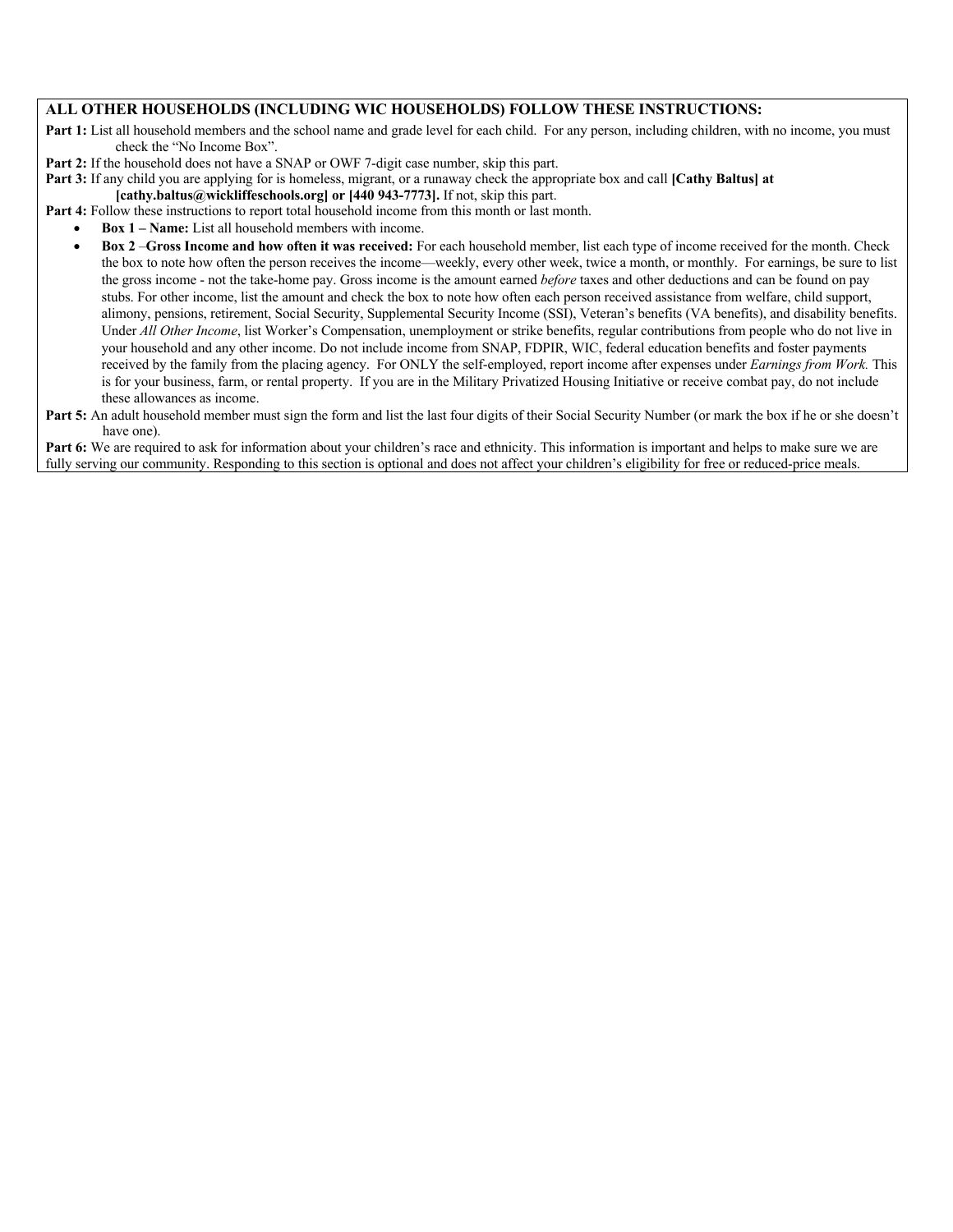### **ALL OTHER HOUSEHOLDS (INCLUDING WIC HOUSEHOLDS) FOLLOW THESE INSTRUCTIONS:**

**Part 1:** List all household members and the school name and grade level for each child. For any person, including children, with no income, you must check the "No Income Box".

Part 2: If the household does not have a SNAP or OWF 7-digit case number, skip this part.

**Part 3:** If any child you are applying for is homeless, migrant, or a runaway check the appropriate box and call **[Cathy Baltus] at** 

**[cathy.baltus@wickliffeschools.org] or [440 943-7773].** If not, skip this part.

Part 4: Follow these instructions to report total household income from this month or last month.

- **Box 1 – Name:** List all household members with income.
- **Box 2** –**Gross Income and how often it was received:** For each household member, list each type of income received for the month. Check the box to note how often the person receives the income—weekly, every other week, twice a month, or monthly. For earnings, be sure to list the gross income - not the take-home pay. Gross income is the amount earned *before* taxes and other deductions and can be found on pay stubs. For other income, list the amount and check the box to note how often each person received assistance from welfare, child support, alimony, pensions, retirement, Social Security, Supplemental Security Income (SSI), Veteran's benefits (VA benefits), and disability benefits. Under *All Other Income*, list Worker's Compensation, unemployment or strike benefits, regular contributions from people who do not live in your household and any other income. Do not include income from SNAP, FDPIR, WIC, federal education benefits and foster payments received by the family from the placing agency. For ONLY the self-employed, report income after expenses under *Earnings from Work.* This is for your business, farm, or rental property. If you are in the Military Privatized Housing Initiative or receive combat pay, do not include these allowances as income.

Part 5: An adult household member must sign the form and list the last four digits of their Social Security Number (or mark the box if he or she doesn't have one).

**Part 6:** We are required to ask for information about your children's race and ethnicity. This information is important and helps to make sure we are fully serving our community. Responding to this section is optional and does not affect your children's eligibility for free or reduced-price meals.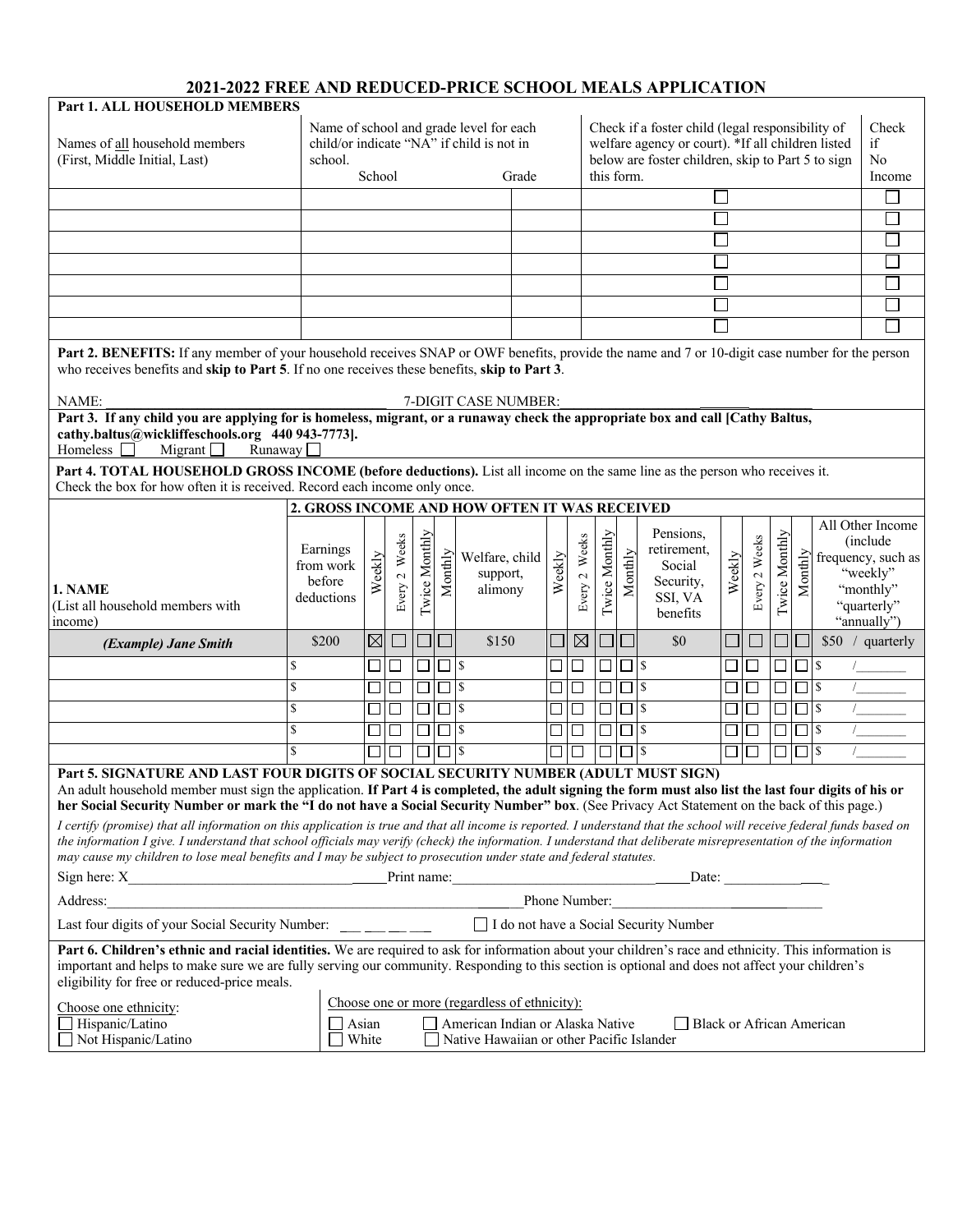# **2021-2022 FREE AND REDUCED-PRICE SCHOOL MEALS APPLICATION**

| Part 1. ALL HOUSEHOLD MEMBERS                                                                                                                                                                                                                                                                                                                                                                                                                                   |                                               |             |                  |                 |          |                                                                                      |        |               |                                                                                                                                                                        |                  |                                                            |        |               |                   |           |              |                                                         |
|-----------------------------------------------------------------------------------------------------------------------------------------------------------------------------------------------------------------------------------------------------------------------------------------------------------------------------------------------------------------------------------------------------------------------------------------------------------------|-----------------------------------------------|-------------|------------------|-----------------|----------|--------------------------------------------------------------------------------------|--------|---------------|------------------------------------------------------------------------------------------------------------------------------------------------------------------------|------------------|------------------------------------------------------------|--------|---------------|-------------------|-----------|--------------|---------------------------------------------------------|
| Names of all household members<br>(First, Middle Initial, Last)                                                                                                                                                                                                                                                                                                                                                                                                 | school.                                       |             |                  |                 |          | Name of school and grade level for each<br>child/or indicate "NA" if child is not in |        |               | Check if a foster child (legal responsibility of<br>welfare agency or court). *If all children listed<br>if<br>below are foster children, skip to Part 5 to sign<br>No |                  |                                                            | Check  |               |                   |           |              |                                                         |
|                                                                                                                                                                                                                                                                                                                                                                                                                                                                 |                                               | School      |                  |                 |          | Grade                                                                                |        |               | this form.                                                                                                                                                             |                  |                                                            |        |               |                   |           |              | Income                                                  |
|                                                                                                                                                                                                                                                                                                                                                                                                                                                                 |                                               |             |                  |                 |          |                                                                                      |        |               |                                                                                                                                                                        |                  |                                                            |        |               |                   |           |              |                                                         |
|                                                                                                                                                                                                                                                                                                                                                                                                                                                                 |                                               |             |                  |                 |          |                                                                                      |        |               |                                                                                                                                                                        |                  |                                                            |        |               |                   |           |              |                                                         |
|                                                                                                                                                                                                                                                                                                                                                                                                                                                                 |                                               |             |                  |                 |          |                                                                                      |        |               |                                                                                                                                                                        |                  |                                                            |        |               |                   |           |              |                                                         |
|                                                                                                                                                                                                                                                                                                                                                                                                                                                                 |                                               |             |                  |                 |          |                                                                                      |        |               |                                                                                                                                                                        |                  |                                                            |        |               |                   |           |              |                                                         |
|                                                                                                                                                                                                                                                                                                                                                                                                                                                                 |                                               |             |                  |                 |          |                                                                                      |        |               |                                                                                                                                                                        |                  |                                                            |        |               |                   |           |              |                                                         |
|                                                                                                                                                                                                                                                                                                                                                                                                                                                                 |                                               |             |                  |                 |          |                                                                                      |        |               |                                                                                                                                                                        |                  |                                                            |        |               |                   |           |              |                                                         |
|                                                                                                                                                                                                                                                                                                                                                                                                                                                                 |                                               |             |                  |                 |          |                                                                                      |        |               |                                                                                                                                                                        |                  |                                                            |        |               |                   |           |              |                                                         |
| Part 2. BENEFITS: If any member of your household receives SNAP or OWF benefits, provide the name and 7 or 10-digit case number for the person<br>who receives benefits and skip to Part 5. If no one receives these benefits, skip to Part 3.                                                                                                                                                                                                                  |                                               |             |                  |                 |          |                                                                                      |        |               |                                                                                                                                                                        |                  |                                                            |        |               |                   |           |              |                                                         |
| NAME:<br>Part 3. If any child you are applying for is homeless, migrant, or a runaway check the appropriate box and call [Cathy Baltus,                                                                                                                                                                                                                                                                                                                         |                                               |             |                  |                 |          | 7-DIGIT CASE NUMBER:                                                                 |        |               |                                                                                                                                                                        |                  |                                                            |        |               |                   |           |              |                                                         |
| cathy.baltus@wickliffeschools.org 440 943-7773].<br>Homeless  <br>Migrant $\Box$<br>Runaway $\square$                                                                                                                                                                                                                                                                                                                                                           |                                               |             |                  |                 |          |                                                                                      |        |               |                                                                                                                                                                        |                  |                                                            |        |               |                   |           |              |                                                         |
| Part 4. TOTAL HOUSEHOLD GROSS INCOME (before deductions). List all income on the same line as the person who receives it.<br>Check the box for how often it is received. Record each income only once.                                                                                                                                                                                                                                                          |                                               |             |                  |                 |          |                                                                                      |        |               |                                                                                                                                                                        |                  |                                                            |        |               |                   |           |              |                                                         |
|                                                                                                                                                                                                                                                                                                                                                                                                                                                                 |                                               |             |                  |                 |          | 2. GROSS INCOME AND HOW OFTEN IT WAS RECEIVED                                        |        |               |                                                                                                                                                                        |                  |                                                            |        |               |                   |           |              | All Other Income                                        |
| 1. NAME                                                                                                                                                                                                                                                                                                                                                                                                                                                         | Earnings<br>from work<br>before<br>deductions | Weekly      | Weeks<br>Every 2 | Twice Monthly   | Monthly  | Welfare, child<br>support,<br>alimony                                                | Weekly | Every 2 Weeks | Twice Monthly                                                                                                                                                          | Monthly          | Pensions,<br>retirement,<br>Social<br>Security,<br>SSI, VA | Weekly | Every 2 Weeks | Twice Monthly     | Monthly   |              | (include<br>frequency, such as<br>"weekly"<br>"monthly" |
| (List all household members with<br>income)                                                                                                                                                                                                                                                                                                                                                                                                                     |                                               |             |                  |                 |          |                                                                                      |        |               |                                                                                                                                                                        |                  | benefits                                                   |        |               |                   |           |              | "quarterly"<br>"annually")                              |
| (Example) Jane Smith                                                                                                                                                                                                                                                                                                                                                                                                                                            | \$200                                         | $\boxtimes$ | $\Box$           |                 | $\Box$   | \$150                                                                                |        | $\boxtimes$   |                                                                                                                                                                        |                  | \$0                                                        |        | $\Box$        |                   |           |              | \$50 / quarterly                                        |
|                                                                                                                                                                                                                                                                                                                                                                                                                                                                 | \$                                            | $\Box$      | $\Box$           | $\Box$ $\Box$ s |          |                                                                                      | $\Box$ | $\Box$        | $\Box$                                                                                                                                                                 | $\Box$           |                                                            | $\Box$ | $\Box$        | $\overline{\Box}$ | $\Box$ \$ |              |                                                         |
|                                                                                                                                                                                                                                                                                                                                                                                                                                                                 | \$                                            | $\Box$      | $\Box$           | $\Box$ $\Box$ s |          |                                                                                      | □      | $\Box$        | $\Box$                                                                                                                                                                 | $\Box$           | $\sqrt{3}$                                                 | $\Box$ | $\Box$        | $\Box$            | $\Box$    | $\vert$ \$   |                                                         |
|                                                                                                                                                                                                                                                                                                                                                                                                                                                                 | <sup>\$</sup>                                 |             | $\Box$ $\Box$    | $\Box$ $\Box$ s |          |                                                                                      | $\Box$ | $\Box$        |                                                                                                                                                                        | $\Box$ $\Box$ \$ |                                                            | $\Box$ | $\Box$        | $\Box$            | $\Box$    |              |                                                         |
|                                                                                                                                                                                                                                                                                                                                                                                                                                                                 | \$                                            | $\Box$      | $\Box$           | $\Box$          | $\Box$ s |                                                                                      | □      | $\Box$        | $\Box$                                                                                                                                                                 | $\Box$           | $\sqrt{S}$                                                 | □      | □             | □                 | $\Box$    | <b>S</b>     |                                                         |
|                                                                                                                                                                                                                                                                                                                                                                                                                                                                 |                                               | $\Box$      | $\Box$           | $\Box$          | $\Box$   | $\mathbb{S}% _{t}\left( t\right) \equiv\mathbb{S}_{t}\left( t\right)$                | $\Box$ | $\Box$        | $\Box$                                                                                                                                                                 | $\Box$           |                                                            | П      | $\Box$        | $\Box$            |           | $\mathbf{s}$ |                                                         |
| Part 5. SIGNATURE AND LAST FOUR DIGITS OF SOCIAL SECURITY NUMBER (ADULT MUST SIGN)<br>An adult household member must sign the application. If Part 4 is completed, the adult signing the form must also list the last four digits of his or<br>her Social Security Number or mark the "I do not have a Social Security Number" box. (See Privacy Act Statement on the back of this page.)                                                                       |                                               |             |                  |                 |          |                                                                                      |        |               |                                                                                                                                                                        |                  |                                                            |        |               |                   |           |              |                                                         |
| I certify (promise) that all information on this application is true and that all income is reported. I understand that the school will receive federal funds based on<br>the information I give. I understand that school officials may verify (check) the information. I understand that deliberate misrepresentation of the information<br>may cause my children to lose meal benefits and I may be subject to prosecution under state and federal statutes. |                                               |             |                  |                 |          |                                                                                      |        |               |                                                                                                                                                                        |                  |                                                            |        |               |                   |           |              |                                                         |
|                                                                                                                                                                                                                                                                                                                                                                                                                                                                 |                                               |             |                  |                 |          |                                                                                      |        |               |                                                                                                                                                                        |                  |                                                            |        |               |                   |           |              |                                                         |
| Address: Phone Number: Phone Number: Phone Number:                                                                                                                                                                                                                                                                                                                                                                                                              |                                               |             |                  |                 |          |                                                                                      |        |               |                                                                                                                                                                        |                  |                                                            |        |               |                   |           |              |                                                         |
| □ I do not have a Social Security Number                                                                                                                                                                                                                                                                                                                                                                                                                        |                                               |             |                  |                 |          |                                                                                      |        |               |                                                                                                                                                                        |                  |                                                            |        |               |                   |           |              |                                                         |
| Part 6. Children's ethnic and racial identities. We are required to ask for information about your children's race and ethnicity. This information is<br>important and helps to make sure we are fully serving our community. Responding to this section is optional and does not affect your children's<br>eligibility for free or reduced-price meals.                                                                                                        |                                               |             |                  |                 |          |                                                                                      |        |               |                                                                                                                                                                        |                  |                                                            |        |               |                   |           |              |                                                         |
| Choose one ethnicity:                                                                                                                                                                                                                                                                                                                                                                                                                                           |                                               |             |                  |                 |          | Choose one or more (regardless of ethnicity):                                        |        |               |                                                                                                                                                                        |                  |                                                            |        |               |                   |           |              |                                                         |
| Hispanic/Latino<br>American Indian or Alaska Native<br>Asian<br><b>Black or African American</b><br>White<br>Not Hispanic/Latino<br>Native Hawaiian or other Pacific Islander                                                                                                                                                                                                                                                                                   |                                               |             |                  |                 |          |                                                                                      |        |               |                                                                                                                                                                        |                  |                                                            |        |               |                   |           |              |                                                         |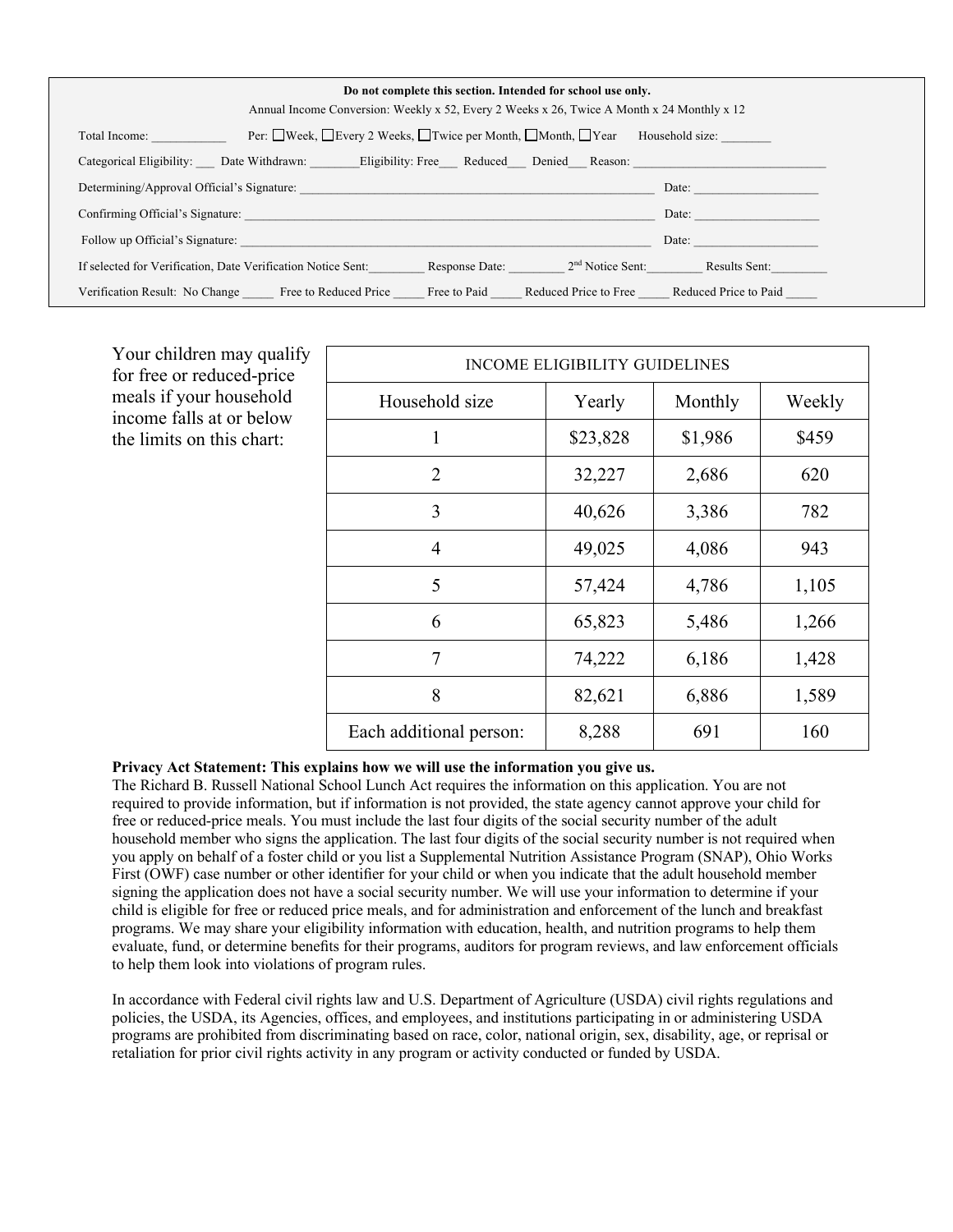| Do not complete this section. Intended for school use only.<br>Annual Income Conversion: Weekly x 52, Every 2 Weeks x 26, Twice A Month x 24 Monthly x 12 |                                             |  |  |  |  |  |  |
|-----------------------------------------------------------------------------------------------------------------------------------------------------------|---------------------------------------------|--|--|--|--|--|--|
| Per: Week, Every 2 Weeks, Twice per Month, Nonth, Year Household size:<br>Total Income:                                                                   |                                             |  |  |  |  |  |  |
| Categorical Eligibility: Date Withdrawn: Eligibility: Free Reduced Denied Reason:                                                                         |                                             |  |  |  |  |  |  |
| Determining/Approval Official's Signature:                                                                                                                | Date:                                       |  |  |  |  |  |  |
| Confirming Official's Signature:                                                                                                                          | Date:                                       |  |  |  |  |  |  |
|                                                                                                                                                           | Date:                                       |  |  |  |  |  |  |
| 2 <sup>nd</sup> Notice Sent:<br>Response Date:<br>If selected for Verification, Date Verification Notice Sent:                                            | Results Sent:                               |  |  |  |  |  |  |
| Free to Paid<br>Verification Result: No Change<br>Free to Reduced Price                                                                                   | Reduced Price to Free Reduced Price to Paid |  |  |  |  |  |  |

Your children may qualify for free or reduced-price meals if your household income falls at or below the limits on this chart:

| INCOME ELIGIBILITY GUIDELINES |          |         |        |  |  |  |  |  |
|-------------------------------|----------|---------|--------|--|--|--|--|--|
| Household size                | Yearly   | Monthly | Weekly |  |  |  |  |  |
| 1                             | \$23,828 | \$1,986 | \$459  |  |  |  |  |  |
| $\overline{2}$                | 32,227   | 2,686   | 620    |  |  |  |  |  |
| 3                             | 40,626   | 3,386   | 782    |  |  |  |  |  |
| 4                             | 49,025   | 4,086   | 943    |  |  |  |  |  |
| 5                             | 57,424   | 4,786   | 1,105  |  |  |  |  |  |
| 6                             | 65,823   | 5,486   | 1,266  |  |  |  |  |  |
| 7                             | 74,222   | 6,186   | 1,428  |  |  |  |  |  |
| 8                             | 82,621   | 6,886   | 1,589  |  |  |  |  |  |
| Each additional person:       | 8,288    | 691     | 160    |  |  |  |  |  |

### **Privacy Act Statement: This explains how we will use the information you give us.**

The Richard B. Russell National School Lunch Act requires the information on this application. You are not required to provide information, but if information is not provided, the state agency cannot approve your child for free or reduced-price meals. You must include the last four digits of the social security number of the adult household member who signs the application. The last four digits of the social security number is not required when you apply on behalf of a foster child or you list a Supplemental Nutrition Assistance Program (SNAP), Ohio Works First (OWF) case number or other identifier for your child or when you indicate that the adult household member signing the application does not have a social security number. We will use your information to determine if your child is eligible for free or reduced price meals, and for administration and enforcement of the lunch and breakfast programs. We may share your eligibility information with education, health, and nutrition programs to help them evaluate, fund, or determine benefits for their programs, auditors for program reviews, and law enforcement officials to help them look into violations of program rules.

In accordance with Federal civil rights law and U.S. Department of Agriculture (USDA) civil rights regulations and policies, the USDA, its Agencies, offices, and employees, and institutions participating in or administering USDA programs are prohibited from discriminating based on race, color, national origin, sex, disability, age, or reprisal or retaliation for prior civil rights activity in any program or activity conducted or funded by USDA.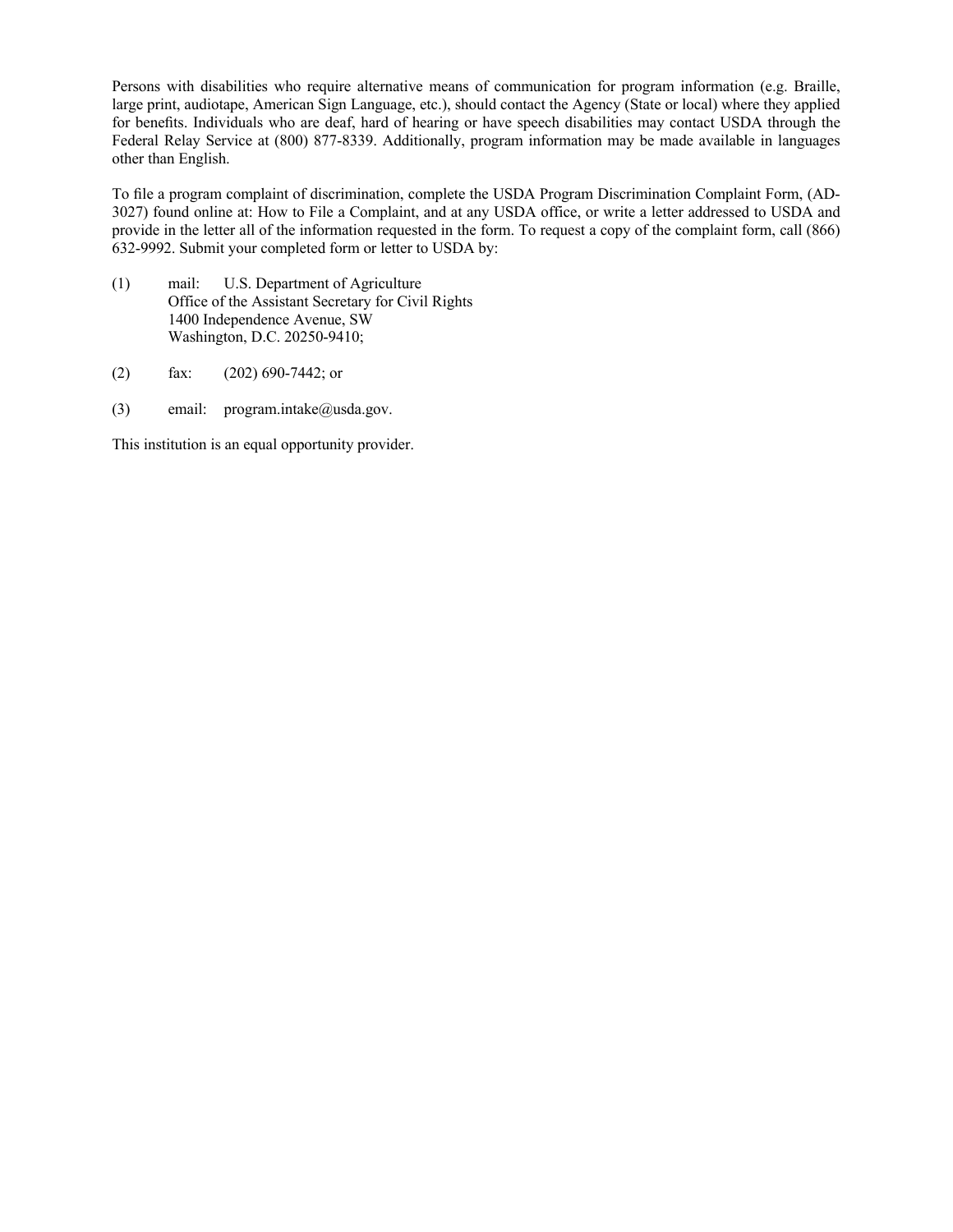Persons with disabilities who require alternative means of communication for program information (e.g. Braille, large print, audiotape, American Sign Language, etc.), should contact the Agency (State or local) where they applied for benefits. Individuals who are deaf, hard of hearing or have speech disabilities may contact USDA through the Federal Relay Service at (800) 877-8339. Additionally, program information may be made available in languages other than English.

To file a program complaint of discrimination, complete the USDA Program Discrimination Complaint Form, (AD-3027) found online at: How to File a Complaint, and at any USDA office, or write a letter addressed to USDA and provide in the letter all of the information requested in the form. To request a copy of the complaint form, call (866) 632-9992. Submit your completed form or letter to USDA by:

- (1) mail: U.S. Department of Agriculture Office of the Assistant Secretary for Civil Rights 1400 Independence Avenue, SW Washington, D.C. 20250-9410;
- (2) fax: (202) 690-7442; or
- (3) email: program.intake@usda.gov.

This institution is an equal opportunity provider.